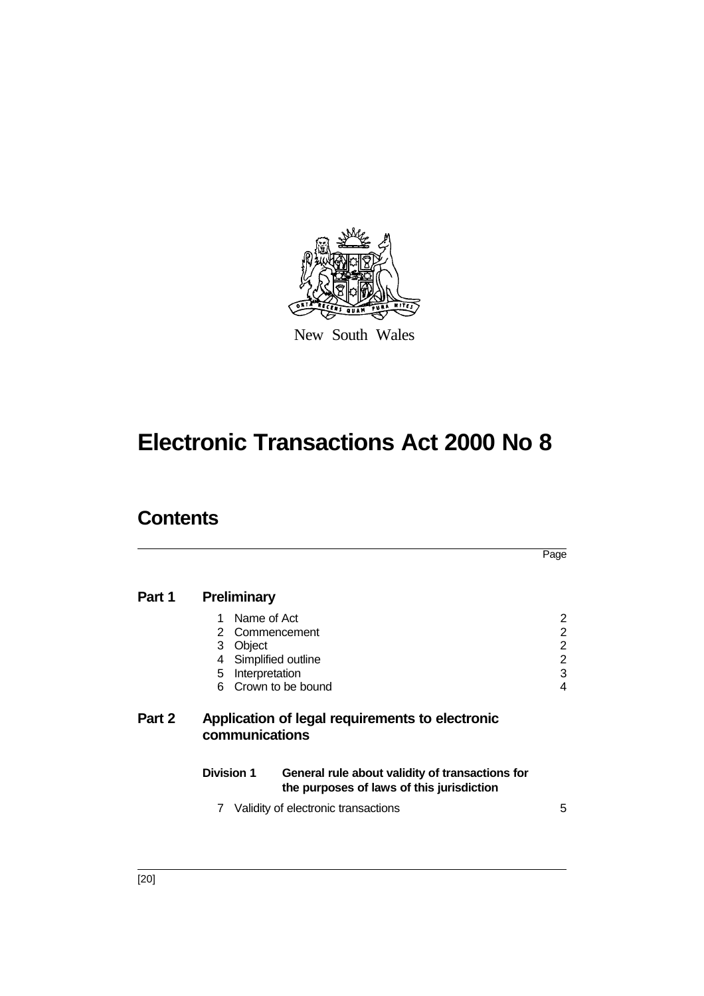

New South Wales

# **Electronic Transactions Act 2000 No 8**

# **Contents**

|        |                                                                   |                                                                                              | Page                                                              |
|--------|-------------------------------------------------------------------|----------------------------------------------------------------------------------------------|-------------------------------------------------------------------|
| Part 1 | <b>Preliminary</b>                                                |                                                                                              |                                                                   |
|        | Name of Act<br>2<br>3<br>Object<br>4<br>Interpretation<br>5.<br>6 | Commencement<br>Simplified outline<br>Crown to be bound                                      | 2<br>$\overline{c}$<br>$\overline{c}$<br>$\overline{c}$<br>3<br>4 |
| Part 2 | Application of legal requirements to electronic<br>communications |                                                                                              |                                                                   |
|        | <b>Division 1</b>                                                 | General rule about validity of transactions for<br>the purposes of laws of this jurisdiction |                                                                   |
|        | 7                                                                 | Validity of electronic transactions                                                          | 5                                                                 |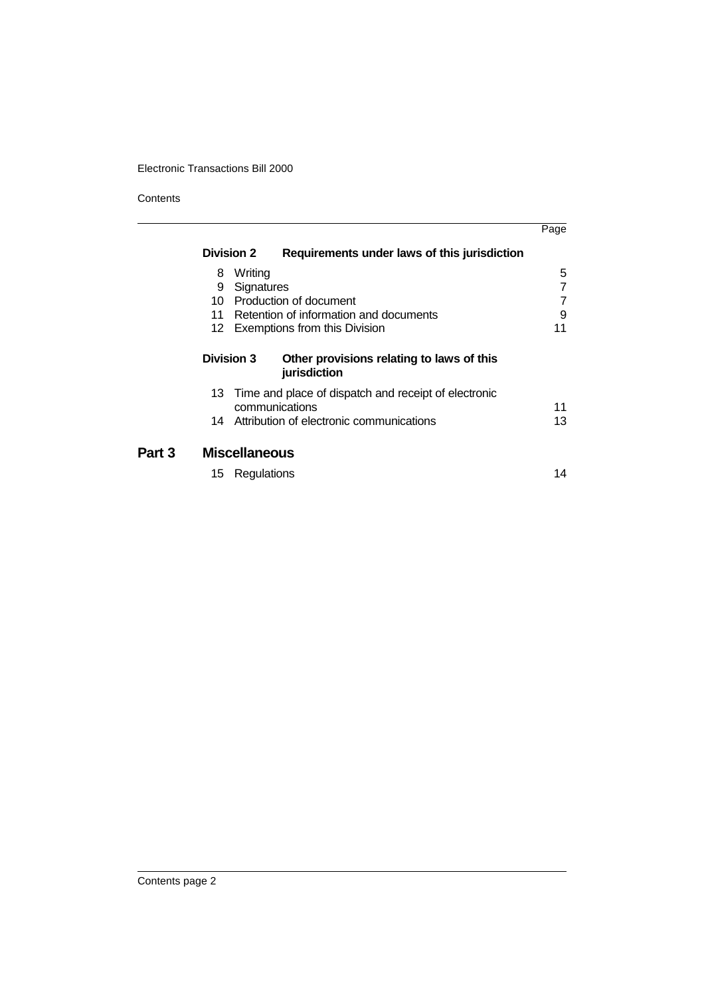#### Electronic Transactions Bill 2000

#### **Contents**

|        |                                                                                                                                | Page                     |
|--------|--------------------------------------------------------------------------------------------------------------------------------|--------------------------|
|        | <b>Division 2</b><br>Requirements under laws of this jurisdiction                                                              |                          |
|        | Writing<br>8<br>Signatures<br>9<br>Production of document<br>10                                                                | 5<br>$\overline{7}$<br>7 |
| 11     | Retention of information and documents<br>12 Exemptions from this Division                                                     | 9<br>11                  |
|        | Division 3<br>Other provisions relating to laws of this<br>jurisdiction                                                        |                          |
|        | Time and place of dispatch and receipt of electronic<br>13<br>communications<br>Attribution of electronic communications<br>14 | 11<br>13                 |
| Part 3 | <b>Miscellaneous</b>                                                                                                           |                          |
| 15     | Regulations                                                                                                                    | 14                       |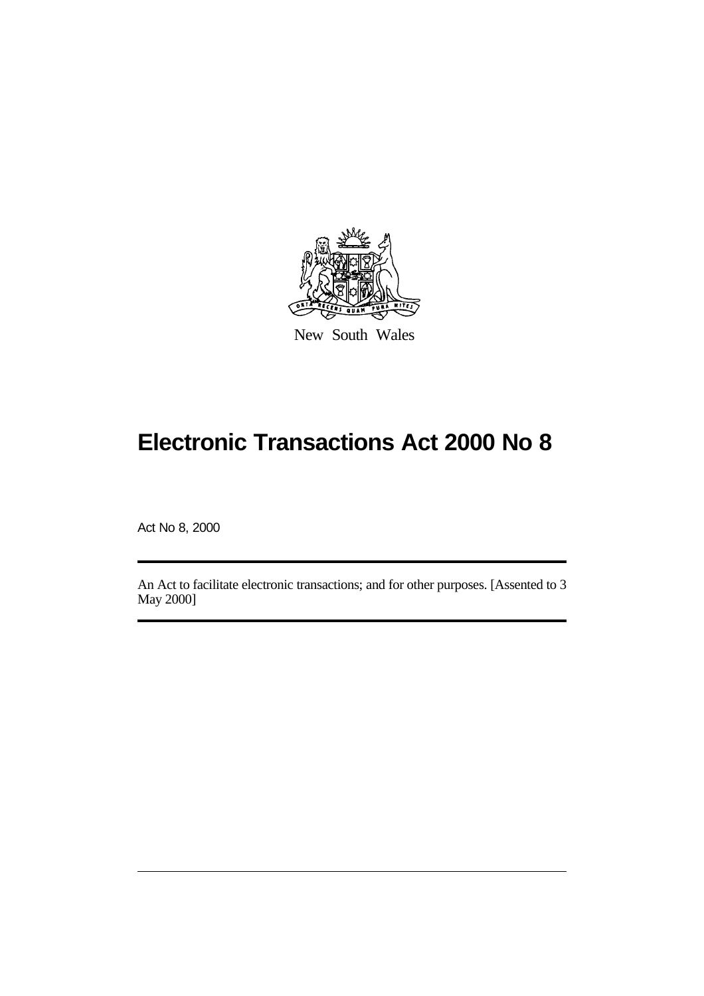

New South Wales

# **Electronic Transactions Act 2000 No 8**

Act No 8, 2000

An Act to facilitate electronic transactions; and for other purposes. [Assented to 3 May 2000]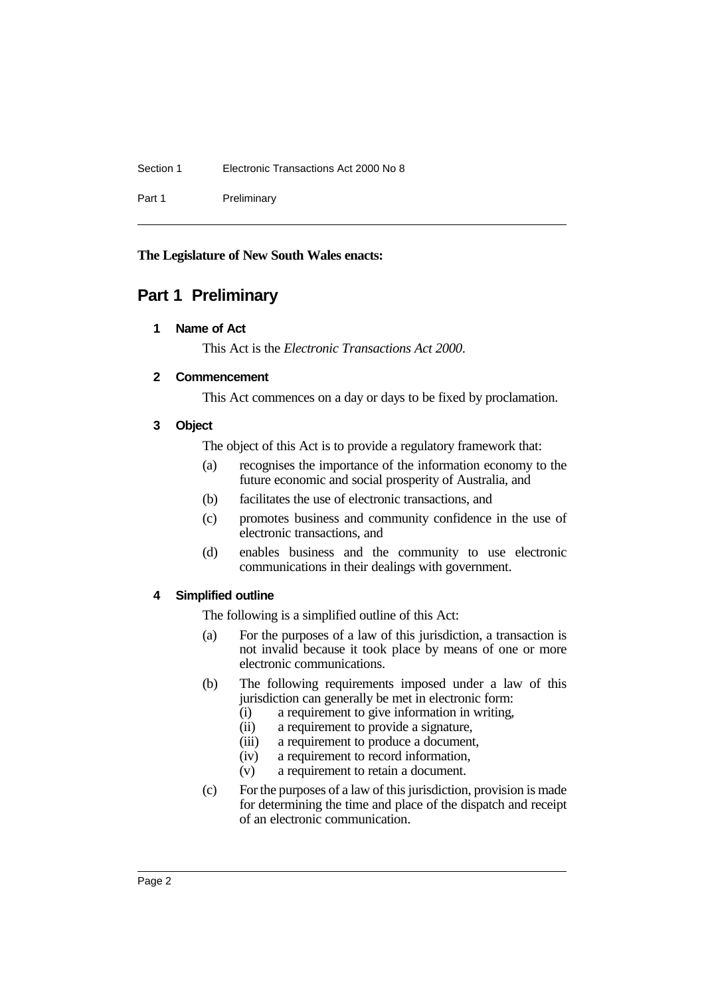| Section 1 | Electronic Transactions Act 2000 No 8 |
|-----------|---------------------------------------|
|           |                                       |

Part 1 Preliminary

## **The Legislature of New South Wales enacts:**

## **Part 1 Preliminary**

**1 Name of Act**

This Act is the *Electronic Transactions Act 2000*.

## **2 Commencement**

This Act commences on a day or days to be fixed by proclamation.

## **3 Object**

The object of this Act is to provide a regulatory framework that:

- (a) recognises the importance of the information economy to the future economic and social prosperity of Australia, and
- (b) facilitates the use of electronic transactions, and
- (c) promotes business and community confidence in the use of electronic transactions, and
- (d) enables business and the community to use electronic communications in their dealings with government.

## **4 Simplified outline**

The following is a simplified outline of this Act:

- (a) For the purposes of a law of this jurisdiction, a transaction is not invalid because it took place by means of one or more electronic communications.
- (b) The following requirements imposed under a law of this jurisdiction can generally be met in electronic form:
	- (i) a requirement to give information in writing,
	- (ii) a requirement to provide a signature,
	- (iii) a requirement to produce a document,
	- (iv) a requirement to record information,
	- (v) a requirement to retain a document.
- (c) For the purposes of a law of this jurisdiction, provision is made for determining the time and place of the dispatch and receipt of an electronic communication.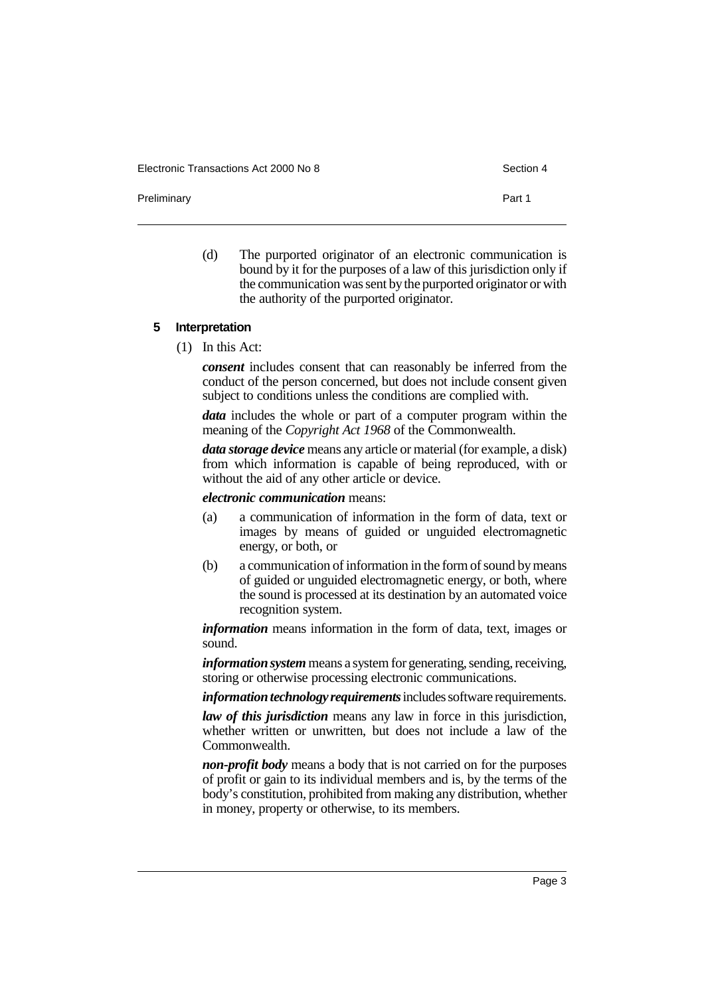| Electronic Transactions Act 2000 No 8 | Section 4 |
|---------------------------------------|-----------|
| Preliminary                           | Part 1    |

(d) The purported originator of an electronic communication is bound by it for the purposes of a law of this jurisdiction only if the communication was sent by the purported originator or with the authority of the purported originator.

#### **5 Interpretation**

(1) In this Act:

*consent* includes consent that can reasonably be inferred from the conduct of the person concerned, but does not include consent given subject to conditions unless the conditions are complied with.

*data* includes the whole or part of a computer program within the meaning of the *Copyright Act 1968* of the Commonwealth.

*data storage device* means any article or material (for example, a disk) from which information is capable of being reproduced, with or without the aid of any other article or device.

#### *electronic communication* means:

- (a) a communication of information in the form of data, text or images by means of guided or unguided electromagnetic energy, or both, or
- (b) a communication of information in the form of sound by means of guided or unguided electromagnetic energy, or both, where the sound is processed at its destination by an automated voice recognition system.

*information* means information in the form of data, text, images or sound.

*information system* means a system for generating, sending, receiving, storing or otherwise processing electronic communications.

*information technology requirements* includes software requirements.

*law of this jurisdiction* means any law in force in this jurisdiction, whether written or unwritten, but does not include a law of the Commonwealth.

*non-profit body* means a body that is not carried on for the purposes of profit or gain to its individual members and is, by the terms of the body's constitution, prohibited from making any distribution, whether in money, property or otherwise, to its members.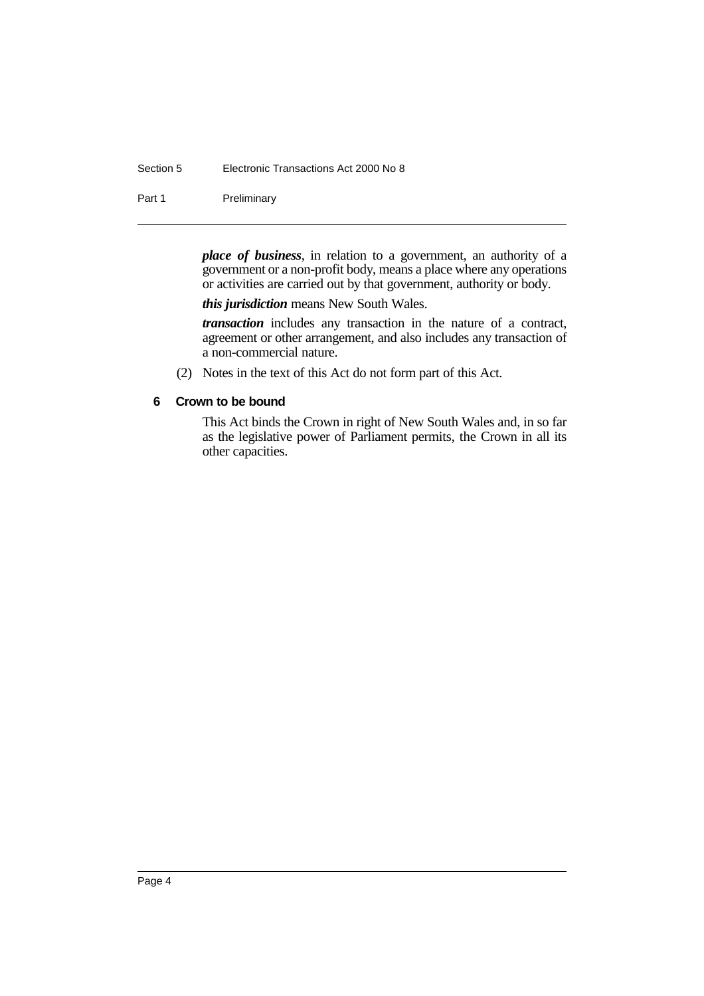| Section 5 | Electronic Transactions Act 2000 No 8 |
|-----------|---------------------------------------|
| Part 1    | Preliminary                           |

*place of business*, in relation to a government, an authority of a government or a non-profit body, means a place where any operations or activities are carried out by that government, authority or body.

*this jurisdiction* means New South Wales.

*transaction* includes any transaction in the nature of a contract, agreement or other arrangement, and also includes any transaction of a non-commercial nature.

(2) Notes in the text of this Act do not form part of this Act.

#### **6 Crown to be bound**

This Act binds the Crown in right of New South Wales and, in so far as the legislative power of Parliament permits, the Crown in all its other capacities.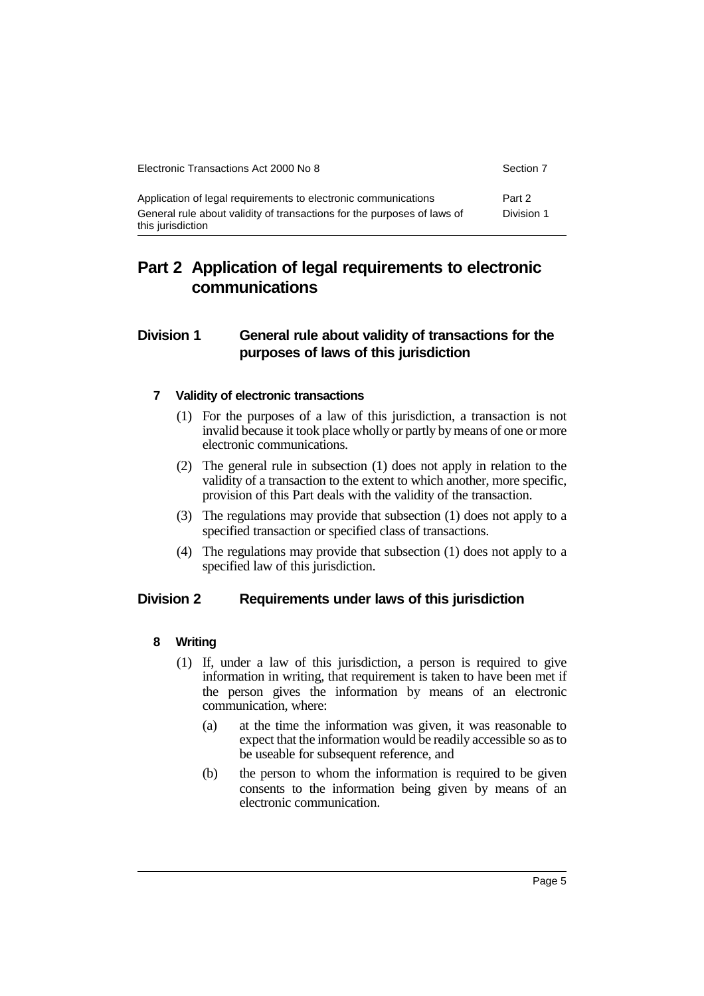| Electronic Transactions Act 2000 No 8                                                                                                                          | Section 7            |
|----------------------------------------------------------------------------------------------------------------------------------------------------------------|----------------------|
| Application of legal requirements to electronic communications<br>General rule about validity of transactions for the purposes of laws of<br>this jurisdiction | Part 2<br>Division 1 |

## **Part 2 Application of legal requirements to electronic communications**

## **Division 1 General rule about validity of transactions for the purposes of laws of this jurisdiction**

## **7 Validity of electronic transactions**

- (1) For the purposes of a law of this jurisdiction, a transaction is not invalid because it took place wholly or partly by means of one or more electronic communications.
- (2) The general rule in subsection (1) does not apply in relation to the validity of a transaction to the extent to which another, more specific, provision of this Part deals with the validity of the transaction.
- (3) The regulations may provide that subsection (1) does not apply to a specified transaction or specified class of transactions.
- (4) The regulations may provide that subsection (1) does not apply to a specified law of this jurisdiction.

## **Division 2 Requirements under laws of this jurisdiction**

## **8 Writing**

- (1) If, under a law of this jurisdiction, a person is required to give information in writing, that requirement is taken to have been met if the person gives the information by means of an electronic communication, where:
	- (a) at the time the information was given, it was reasonable to expect that the information would be readily accessible so as to be useable for subsequent reference, and
	- (b) the person to whom the information is required to be given consents to the information being given by means of an electronic communication.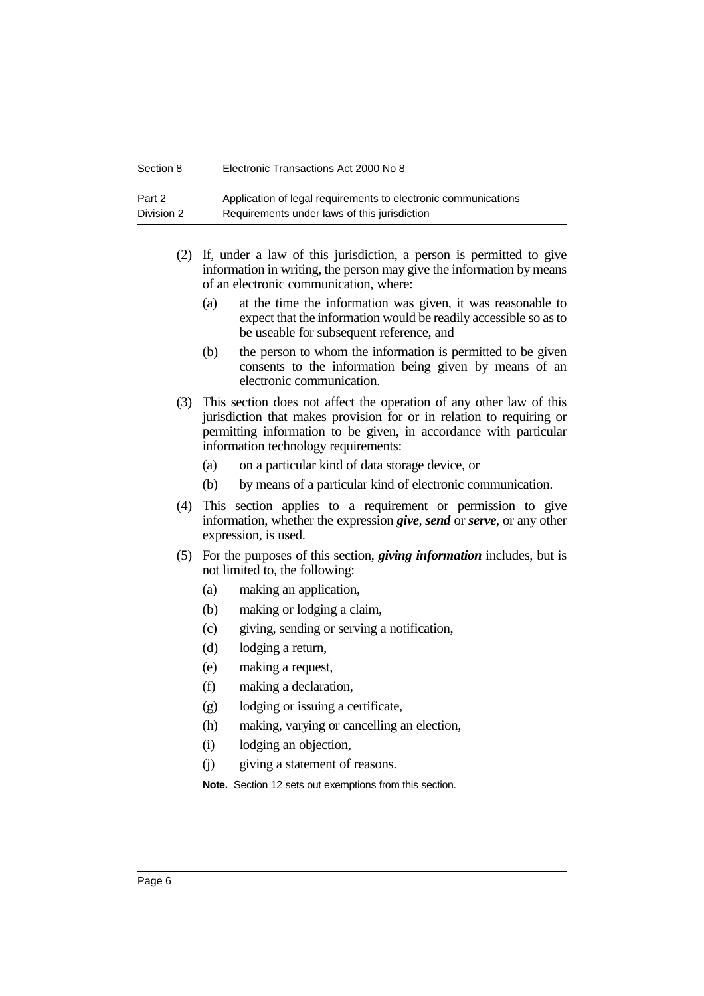| Section 8  | Electronic Transactions Act 2000 No 8                          |
|------------|----------------------------------------------------------------|
| Part 2     | Application of legal requirements to electronic communications |
| Division 2 | Requirements under laws of this jurisdiction                   |

- (2) If, under a law of this jurisdiction, a person is permitted to give information in writing, the person may give the information by means of an electronic communication, where:
	- (a) at the time the information was given, it was reasonable to expect that the information would be readily accessible so as to be useable for subsequent reference, and
	- (b) the person to whom the information is permitted to be given consents to the information being given by means of an electronic communication.
- (3) This section does not affect the operation of any other law of this jurisdiction that makes provision for or in relation to requiring or permitting information to be given, in accordance with particular information technology requirements:
	- (a) on a particular kind of data storage device, or
	- (b) by means of a particular kind of electronic communication.
- (4) This section applies to a requirement or permission to give information, whether the expression *give*, *send* or *serve*, or any other expression, is used.
- (5) For the purposes of this section, *giving information* includes, but is not limited to, the following:
	- (a) making an application,
	- (b) making or lodging a claim,
	- (c) giving, sending or serving a notification,
	- (d) lodging a return,
	- (e) making a request,
	- (f) making a declaration,
	- (g) lodging or issuing a certificate,
	- (h) making, varying or cancelling an election,
	- (i) lodging an objection,
	- (j) giving a statement of reasons.

**Note.** Section 12 sets out exemptions from this section.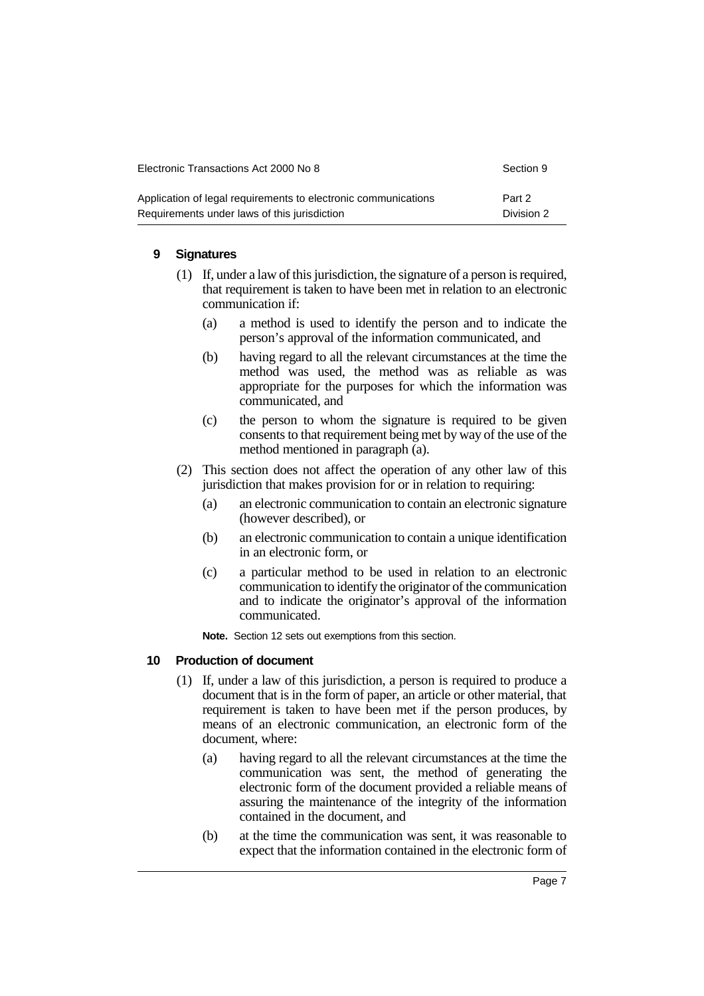| Electronic Transactions Act 2000 No 8                          | Section 9  |
|----------------------------------------------------------------|------------|
| Application of legal requirements to electronic communications | Part 2     |
| Requirements under laws of this jurisdiction                   | Division 2 |

## **9 Signatures**

- (1) If, under a law of this jurisdiction, the signature of a person is required, that requirement is taken to have been met in relation to an electronic communication if:
	- (a) a method is used to identify the person and to indicate the person's approval of the information communicated, and
	- (b) having regard to all the relevant circumstances at the time the method was used, the method was as reliable as was appropriate for the purposes for which the information was communicated, and
	- (c) the person to whom the signature is required to be given consents to that requirement being met by way of the use of the method mentioned in paragraph (a).
- (2) This section does not affect the operation of any other law of this jurisdiction that makes provision for or in relation to requiring:
	- (a) an electronic communication to contain an electronic signature (however described), or
	- (b) an electronic communication to contain a unique identification in an electronic form, or
	- (c) a particular method to be used in relation to an electronic communication to identify the originator of the communication and to indicate the originator's approval of the information communicated.

**Note.** Section 12 sets out exemptions from this section.

#### **10 Production of document**

- (1) If, under a law of this jurisdiction, a person is required to produce a document that is in the form of paper, an article or other material, that requirement is taken to have been met if the person produces, by means of an electronic communication, an electronic form of the document, where:
	- (a) having regard to all the relevant circumstances at the time the communication was sent, the method of generating the electronic form of the document provided a reliable means of assuring the maintenance of the integrity of the information contained in the document, and
	- (b) at the time the communication was sent, it was reasonable to expect that the information contained in the electronic form of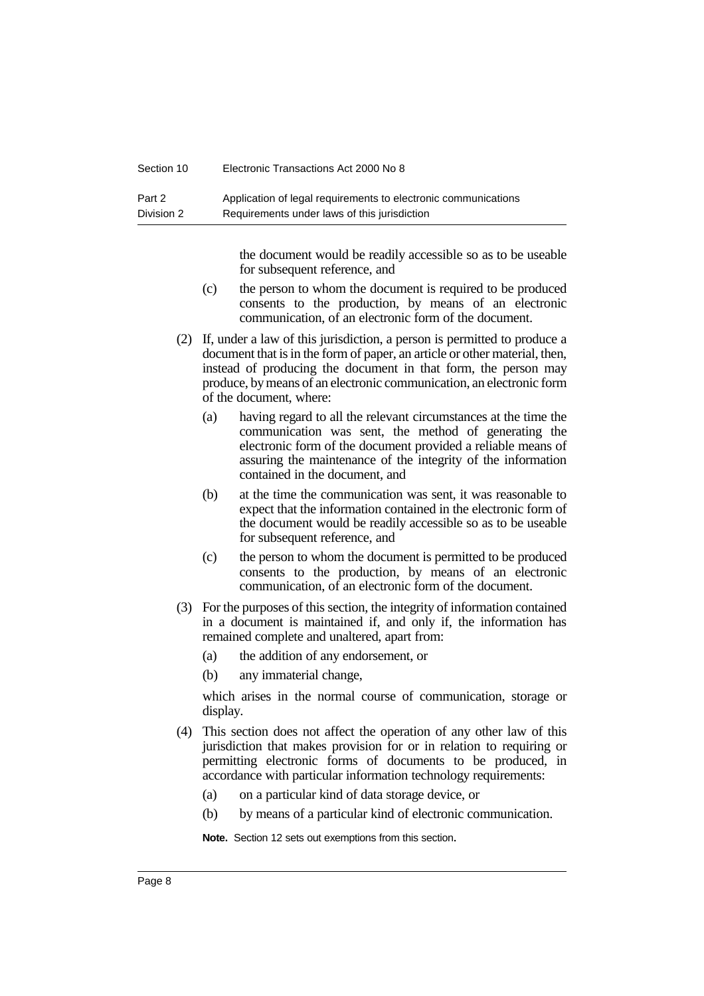| Section 10 | Electronic Transactions Act 2000 No 8                          |
|------------|----------------------------------------------------------------|
| Part 2     | Application of legal requirements to electronic communications |
| Division 2 | Requirements under laws of this jurisdiction                   |

the document would be readily accessible so as to be useable for subsequent reference, and

- (c) the person to whom the document is required to be produced consents to the production, by means of an electronic communication, of an electronic form of the document.
- (2) If, under a law of this jurisdiction, a person is permitted to produce a document that is in the form of paper, an article or other material, then, instead of producing the document in that form, the person may produce, by means of an electronic communication, an electronic form of the document, where:
	- (a) having regard to all the relevant circumstances at the time the communication was sent, the method of generating the electronic form of the document provided a reliable means of assuring the maintenance of the integrity of the information contained in the document, and
	- (b) at the time the communication was sent, it was reasonable to expect that the information contained in the electronic form of the document would be readily accessible so as to be useable for subsequent reference, and
	- (c) the person to whom the document is permitted to be produced consents to the production, by means of an electronic communication, of an electronic form of the document.
- (3) For the purposes of this section, the integrity of information contained in a document is maintained if, and only if, the information has remained complete and unaltered, apart from:
	- (a) the addition of any endorsement, or
	- (b) any immaterial change,

which arises in the normal course of communication, storage or display.

- (4) This section does not affect the operation of any other law of this jurisdiction that makes provision for or in relation to requiring or permitting electronic forms of documents to be produced, in accordance with particular information technology requirements:
	- (a) on a particular kind of data storage device, or
	- (b) by means of a particular kind of electronic communication.

**Note.** Section 12 sets out exemptions from this section.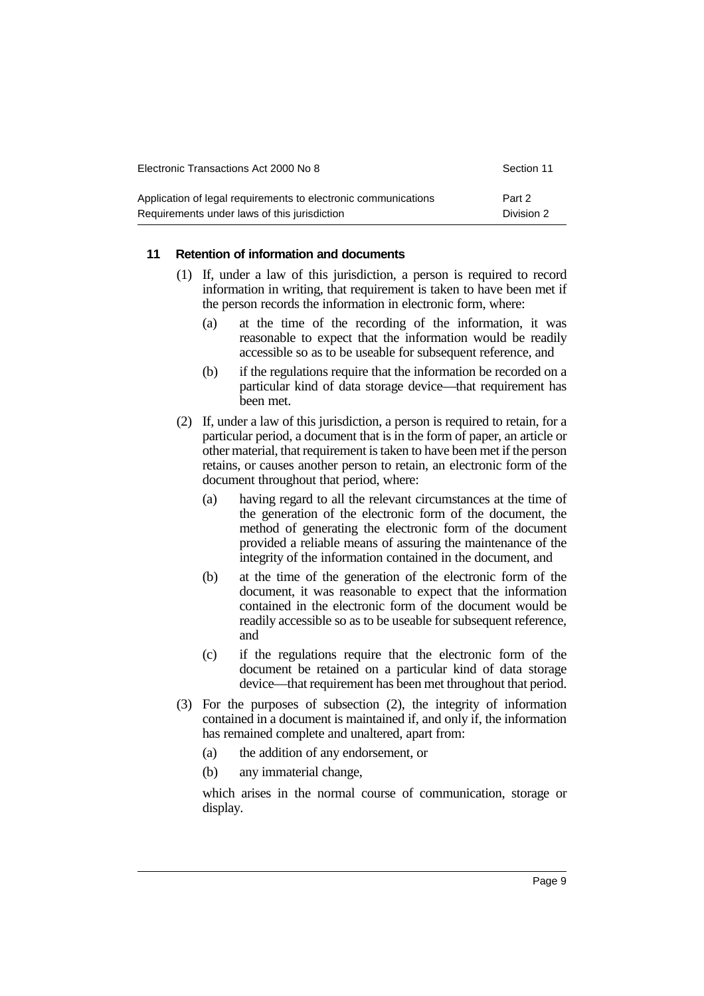| Electronic Transactions Act 2000 No 8                          | Section 11 |
|----------------------------------------------------------------|------------|
| Application of legal requirements to electronic communications | Part 2     |
| Requirements under laws of this jurisdiction                   | Division 2 |

#### **11 Retention of information and documents**

- (1) If, under a law of this jurisdiction, a person is required to record information in writing, that requirement is taken to have been met if the person records the information in electronic form, where:
	- (a) at the time of the recording of the information, it was reasonable to expect that the information would be readily accessible so as to be useable for subsequent reference, and
	- (b) if the regulations require that the information be recorded on a particular kind of data storage device—that requirement has been met.
- (2) If, under a law of this jurisdiction, a person is required to retain, for a particular period, a document that is in the form of paper, an article or other material, that requirement is taken to have been met if the person retains, or causes another person to retain, an electronic form of the document throughout that period, where:
	- (a) having regard to all the relevant circumstances at the time of the generation of the electronic form of the document, the method of generating the electronic form of the document provided a reliable means of assuring the maintenance of the integrity of the information contained in the document, and
	- (b) at the time of the generation of the electronic form of the document, it was reasonable to expect that the information contained in the electronic form of the document would be readily accessible so as to be useable for subsequent reference, and
	- (c) if the regulations require that the electronic form of the document be retained on a particular kind of data storage device—that requirement has been met throughout that period.
- (3) For the purposes of subsection (2), the integrity of information contained in a document is maintained if, and only if, the information has remained complete and unaltered, apart from:
	- (a) the addition of any endorsement, or
	- (b) any immaterial change,

which arises in the normal course of communication, storage or display.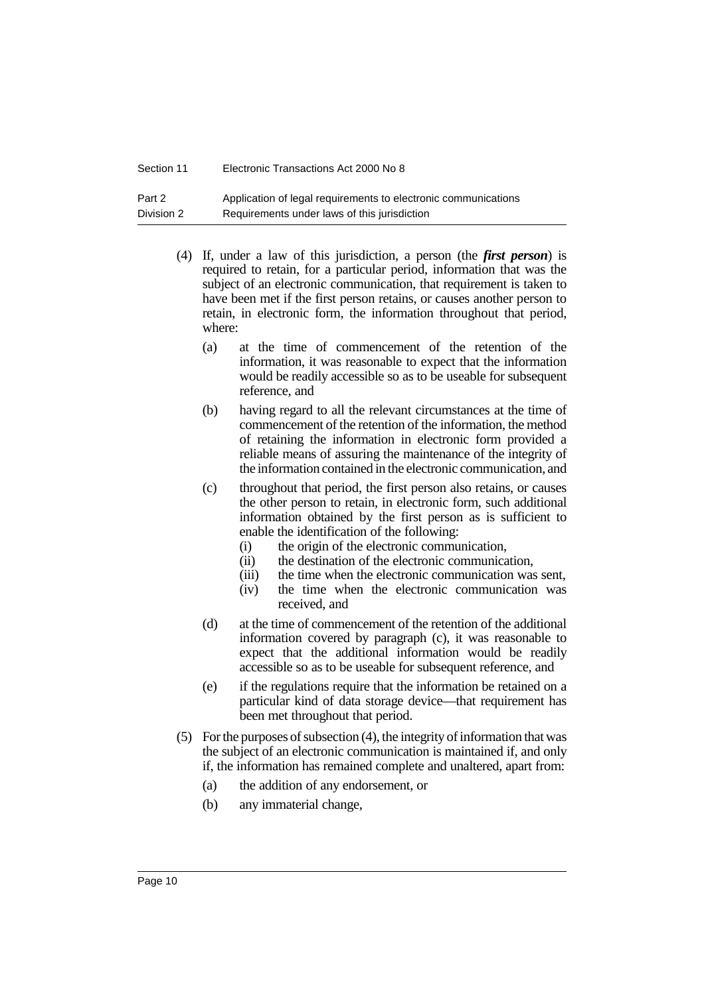| Section 11 | Electronic Transactions Act 2000 No 8                          |
|------------|----------------------------------------------------------------|
| Part 2     | Application of legal requirements to electronic communications |
| Division 2 | Requirements under laws of this jurisdiction                   |

- (4) If, under a law of this jurisdiction, a person (the *first person*) is required to retain, for a particular period, information that was the subject of an electronic communication, that requirement is taken to have been met if the first person retains, or causes another person to retain, in electronic form, the information throughout that period, where:
	- (a) at the time of commencement of the retention of the information, it was reasonable to expect that the information would be readily accessible so as to be useable for subsequent reference, and
	- (b) having regard to all the relevant circumstances at the time of commencement of the retention of the information, the method of retaining the information in electronic form provided a reliable means of assuring the maintenance of the integrity of the information contained in the electronic communication, and
	- (c) throughout that period, the first person also retains, or causes the other person to retain, in electronic form, such additional information obtained by the first person as is sufficient to enable the identification of the following:
		- (i) the origin of the electronic communication,
		- (ii) the destination of the electronic communication,
		- (iii) the time when the electronic communication was sent,
		- (iv) the time when the electronic communication was received, and
	- (d) at the time of commencement of the retention of the additional information covered by paragraph (c), it was reasonable to expect that the additional information would be readily accessible so as to be useable for subsequent reference, and
	- (e) if the regulations require that the information be retained on a particular kind of data storage device—that requirement has been met throughout that period.
- (5) For the purposes of subsection (4), the integrity of information that was the subject of an electronic communication is maintained if, and only if, the information has remained complete and unaltered, apart from:
	- (a) the addition of any endorsement, or
	- (b) any immaterial change,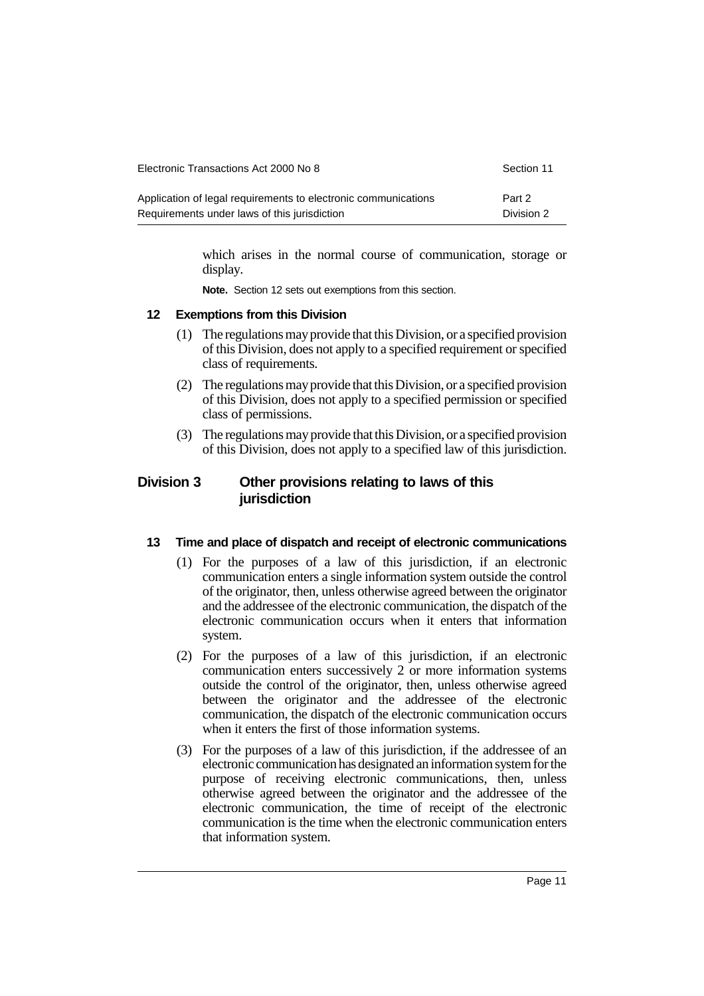| Electronic Transactions Act 2000 No 8                          | Section 11 |
|----------------------------------------------------------------|------------|
| Application of legal requirements to electronic communications | Part 2     |
| Requirements under laws of this jurisdiction                   | Division 2 |

which arises in the normal course of communication, storage or display.

**Note.** Section 12 sets out exemptions from this section.

#### **12 Exemptions from this Division**

- (1) The regulations may provide that this Division, or a specified provision of this Division, does not apply to a specified requirement or specified class of requirements.
- (2) The regulations may provide that this Division, or a specified provision of this Division, does not apply to a specified permission or specified class of permissions.
- (3) The regulations may provide that this Division, or a specified provision of this Division, does not apply to a specified law of this jurisdiction.

## **Division 3 Other provisions relating to laws of this jurisdiction**

#### **13 Time and place of dispatch and receipt of electronic communications**

- (1) For the purposes of a law of this jurisdiction, if an electronic communication enters a single information system outside the control of the originator, then, unless otherwise agreed between the originator and the addressee of the electronic communication, the dispatch of the electronic communication occurs when it enters that information system.
- (2) For the purposes of a law of this jurisdiction, if an electronic communication enters successively 2 or more information systems outside the control of the originator, then, unless otherwise agreed between the originator and the addressee of the electronic communication, the dispatch of the electronic communication occurs when it enters the first of those information systems.
- (3) For the purposes of a law of this jurisdiction, if the addressee of an electronic communication has designated an information system for the purpose of receiving electronic communications, then, unless otherwise agreed between the originator and the addressee of the electronic communication, the time of receipt of the electronic communication is the time when the electronic communication enters that information system.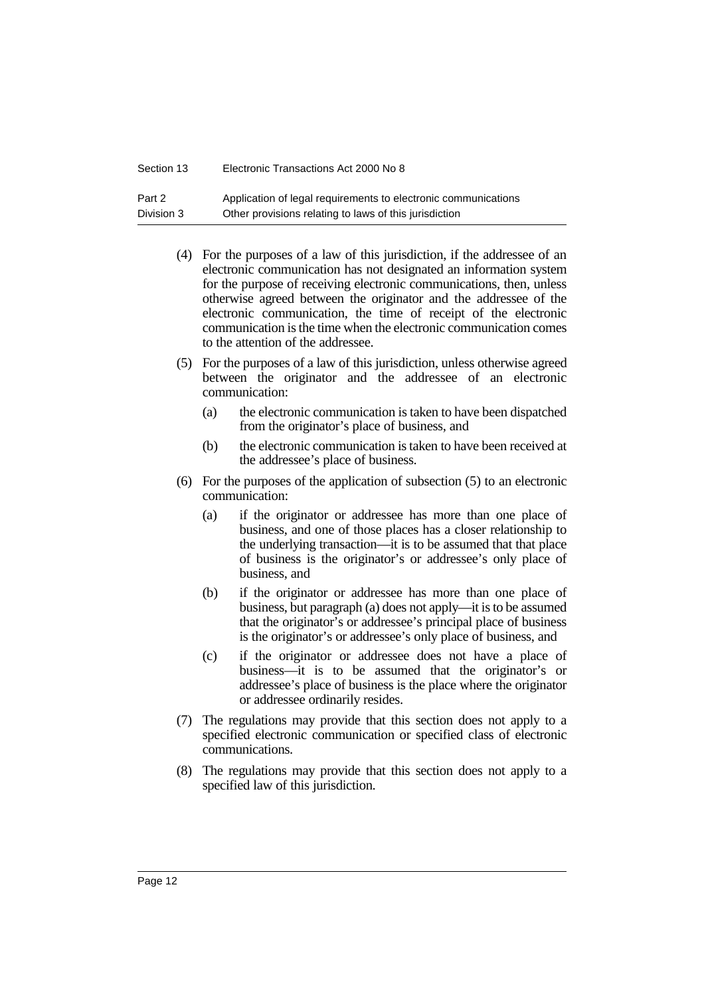| Section 13 | Electronic Transactions Act 2000 No 8                          |
|------------|----------------------------------------------------------------|
| Part 2     | Application of legal requirements to electronic communications |
| Division 3 | Other provisions relating to laws of this jurisdiction         |

- (4) For the purposes of a law of this jurisdiction, if the addressee of an electronic communication has not designated an information system for the purpose of receiving electronic communications, then, unless otherwise agreed between the originator and the addressee of the electronic communication, the time of receipt of the electronic communication is the time when the electronic communication comes to the attention of the addressee.
- (5) For the purposes of a law of this jurisdiction, unless otherwise agreed between the originator and the addressee of an electronic communication:
	- (a) the electronic communication is taken to have been dispatched from the originator's place of business, and
	- (b) the electronic communication is taken to have been received at the addressee's place of business.
- (6) For the purposes of the application of subsection (5) to an electronic communication:
	- (a) if the originator or addressee has more than one place of business, and one of those places has a closer relationship to the underlying transaction—it is to be assumed that that place of business is the originator's or addressee's only place of business, and
	- (b) if the originator or addressee has more than one place of business, but paragraph (a) does not apply—it is to be assumed that the originator's or addressee's principal place of business is the originator's or addressee's only place of business, and
	- (c) if the originator or addressee does not have a place of business—it is to be assumed that the originator's or addressee's place of business is the place where the originator or addressee ordinarily resides.
- (7) The regulations may provide that this section does not apply to a specified electronic communication or specified class of electronic communications.
- (8) The regulations may provide that this section does not apply to a specified law of this jurisdiction.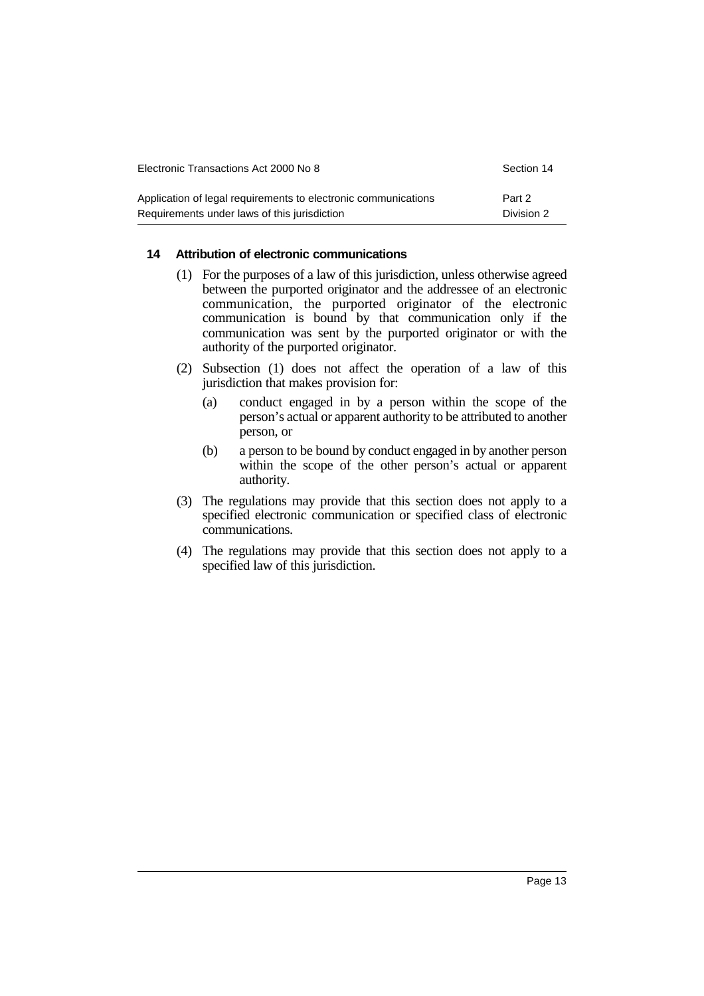| Electronic Transactions Act 2000 No 8                          | Section 14 |
|----------------------------------------------------------------|------------|
| Application of legal requirements to electronic communications | Part 2     |
| Requirements under laws of this jurisdiction                   | Division 2 |

### **14 Attribution of electronic communications**

- (1) For the purposes of a law of this jurisdiction, unless otherwise agreed between the purported originator and the addressee of an electronic communication, the purported originator of the electronic communication is bound by that communication only if the communication was sent by the purported originator or with the authority of the purported originator.
- (2) Subsection (1) does not affect the operation of a law of this jurisdiction that makes provision for:
	- (a) conduct engaged in by a person within the scope of the person's actual or apparent authority to be attributed to another person, or
	- (b) a person to be bound by conduct engaged in by another person within the scope of the other person's actual or apparent authority.
- (3) The regulations may provide that this section does not apply to a specified electronic communication or specified class of electronic communications.
- (4) The regulations may provide that this section does not apply to a specified law of this jurisdiction.